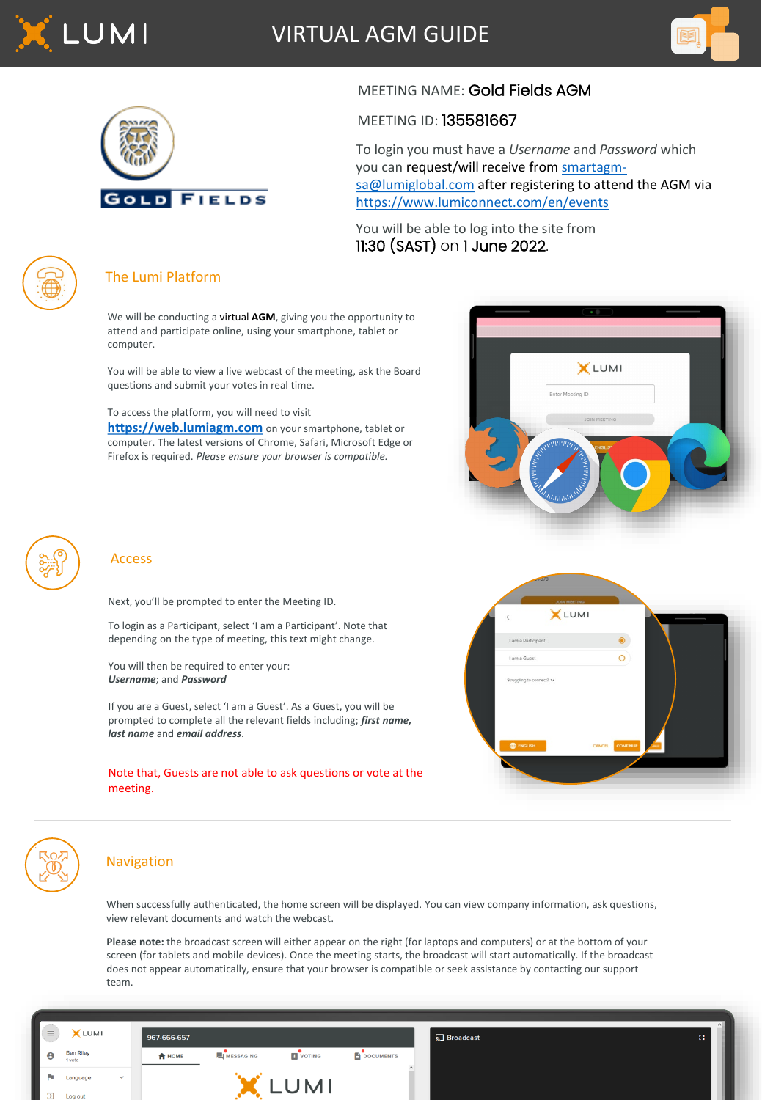

VIRTUAL AGM GUIDE





# MEETING NAME: Gold Fields AGM

### MEETING ID: 135581667

To login you must have a *Username* and *Password* which [you can request/will receive from](mailto:smartagm-sa@lumiglobal.com) smartagmsa@lumiglobal.com after registering to attend the AGM via <https://www.lumiconnect.com/en/events>

You will be able to log into the site from 11:30 (SAST) on 1 June 2022.



## The Lumi Platform

We will be conducting a virtual **AGM**, giving you the opportunity to attend and participate online, using your smartphone, tablet or computer.

You will be able to view a live webcast of the meeting, ask the Board questions and submit your votes in real time.

To access the platform, you will need to visit

**[https://web.lumiagm.com](https://web.lumiagm.com/)** on your smartphone, tablet or computer. The latest versions of Chrome, Safari, Microsoft Edge or Firefox is required. *Please ensure your browser is compatible.*

| $\sim$                                |  |
|---------------------------------------|--|
|                                       |  |
| XLUMI                                 |  |
| Enter Meeting ID                      |  |
| JOIN MEETING                          |  |
| <b>ATTILITIE</b><br>ENGLIS'           |  |
| ANTIFICIAL AND INTERNATIONAL STRAIGHT |  |
|                                       |  |
|                                       |  |

**X**LUMI



#### Access

Next, you'll be prompted to enter the Meeting ID.

To login as a Participant, select 'I am a Participant'. Note that depending on the type of meeting, this text might change.

You will then be required to enter your: *Username*; and *Password*

If you are a Guest, select 'I am a Guest'. As a Guest, you will be prompted to complete all the relevant fields including; *first name, last name* and *email address*.

Note that, Guests are not able to ask questions or vote at the meeting.



## Navigation

When successfully authenticated, the home screen will be displayed. You can view company information, ask questions, view relevant documents and watch the webcast.

**Please note:** the broadcast screen will either appear on the right (for laptops and computers) or at the bottom of your screen (for tablets and mobile devices). Once the meeting starts, the broadcast will start automatically. If the broadcast does not appear automatically, ensure that your browser is compatible or seek assistance by contacting our support team.

| $\equiv$   | <b>X</b> LUMI              |              | 967-666-657   |                     |                   |                  | <u>ଲ</u> Broadcast | -83 |
|------------|----------------------------|--------------|---------------|---------------------|-------------------|------------------|--------------------|-----|
| ∎ѳ         | <b>Ben Riley</b><br>1 vote |              | <b>A</b> HOME | <b>EI</b> MESSAGING | <b>III</b> VOTING | <b>DOCUMENTS</b> |                    |     |
| <b>COL</b> | Language                   | $\checkmark$ |               |                     |                   |                  |                    |     |
| $\Xi$<br>ш | Log out                    |              |               |                     |                   |                  |                    |     |